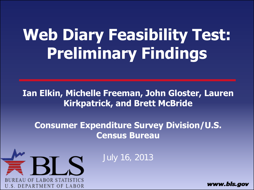# **Web Diary Feasibility Test: Preliminary Findings**

#### **Ian Elkin, Michelle Freeman, John Gloster, Lauren Kirkpatrick, and Brett McBride**

**Consumer Expenditure Survey Division/U.S. Census Bureau** 



July 16, 2013

www.bls.aov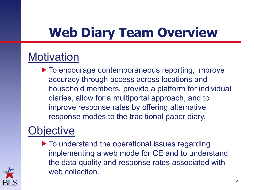# **Web Diary Team Overview**

#### **Motivation**

 $\blacktriangleright$  To encourage contemporaneous reporting, improve accuracy through access across locations and household members, provide a platform for individual diaries, allow for a multiportal approach, and to improve response rates by offering alternative response modes to the traditional paper diary.

#### **Objective**

 $\blacktriangleright$  To understand the operational issues regarding implementing a web mode for CE and to understand the data quality and response rates associated with web collection.

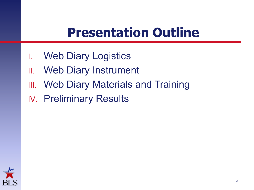#### **Presentation Outline**

- I. Web Diary Logistics
- II. Web Diary Instrument
- **III.** Web Diary Materials and Training
- IV. Preliminary Results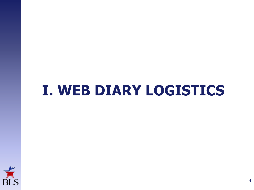# **I. WEB DIARY LOGISTICS**

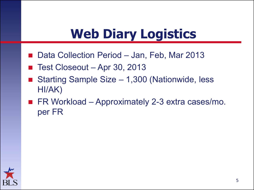### **Web Diary Logistics**

- Data Collection Period Jan, Feb, Mar 2013
- Test Closeout Apr 30, 2013
- Starting Sample Size 1,300 (Nationwide, less HI/AK)
- FR Workload Approximately 2-3 extra cases/mo. per FR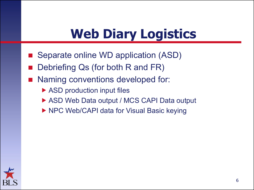#### **Web Diary Logistics**

- Separate online WD application (ASD)
- Debriefing Qs (for both R and FR)
- Naming conventions developed for:
	- ▶ ASD production input files
	- ▶ ASD Web Data output / MCS CAPI Data output
	- ▶ NPC Web/CAPI data for Visual Basic keying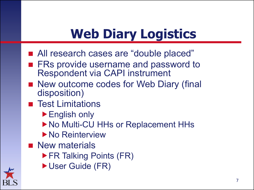# **Web Diary Logistics**

- All research cases are "double placed"
- FRs provide username and password to Respondent via CAPI instrument
- New outcome codes for Web Diary (final disposition)
- **Test Limitations** 
	- ▶ English only
	- ▶ No Multi-CU HHs or Replacement HHs
	- ▶ No Reinterview
- **New materials** 
	- ▶ FR Talking Points (FR)
	- User Guide (FR)

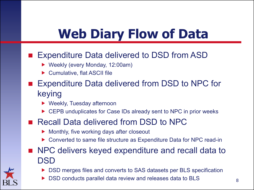### **Web Diary Flow of Data**

#### ■ Expenditure Data delivered to DSD from ASD

- ▶ Weekly (every Monday, 12:00am)
- ▶ Cumulative, flat ASCII file
- Expenditure Data delivered from DSD to NPC for keying
	- ▶ Weekly, Tuesday afternoon
	- CEPB unduplicates for Case IDs already sent to NPC in prior weeks

#### ■ Recall Data delivered from DSD to NPC

- Monthly, five working days after closeout
- Converted to same file structure as Expenditure Data for NPC read-in
- NPC delivers keyed expenditure and recall data to DSD
	- DSD merges files and converts to SAS datasets per BLS specification
	- DSD conducts parallel data review and releases data to BLS

8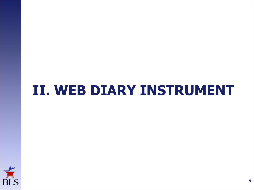### **II. WEB DIARY INSTRUMENT**

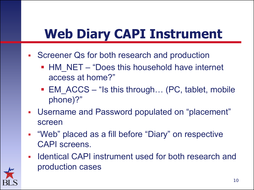#### **Web Diary CAPI Instrument**

- **Screener Qs for both research and production** 
	- HM NET "Does this household have internet access at home?"
	- EM ACCS "Is this through... (PC, tablet, mobile phone)?"
- Username and Password populated on "placement" screen
- . "Web" placed as a fill before "Diary" on respective CAPI screens.
- Identical CAPI instrument used for both research and production cases

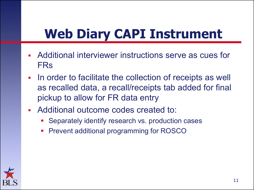#### **Web Diary CAPI Instrument**

- Additional interviewer instructions serve as cues for FRs
- **IF In order to facilitate the collection of receipts as well** as recalled data, a recall/receipts tab added for final pickup to allow for FR data entry
- Additional outcome codes created to:
	- Separately identify research vs. production cases
	- Prevent additional programming for ROSCO

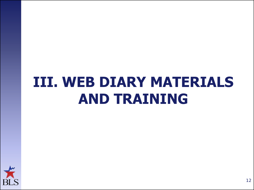# **III. WEB DIARY MATERIALS AND TRAINING**

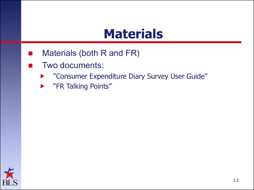#### **Materials**

- Materials (both R and FR)
- Two documents:
	- "Consumer Expenditure Diary Survey User Guide"
	- **> "FR Talking Points"**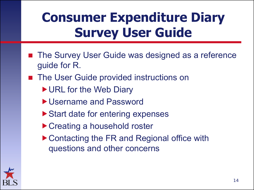- The Survey User Guide was designed as a reference guide for R.
- The User Guide provided instructions on
	- ▶ URL for the Web Diary
	- ▶ Username and Password
	- ▶ Start date for entering expenses
	- ▶ Creating a household roster
	- ▶ Contacting the FR and Regional office with questions and other concerns

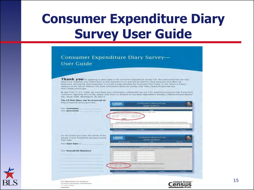#### Consumer Expenditure Diary Survey-User Guide

Thank you for agreeing to participate in the Consumer Expenditure Survey (CE). We understand that this task takes time; however, your information is very important to us and will be used for many purposes that affect all Americans. Among the most important, it is used to help calculate the Consumer Price Index, or CPI, which is a basic ineasure of the rate of inflation. For more lifermation about the survey visit: http://www.bls.gov/cex.and http://www.centus gov

By law (Title 13, U.S. Code), we must keep your information confidential, we use it for statistical purposes only. If you have comments regarding this survey, please send them to: Division of Consumer Expenditure Surveys, 2 Massachusetts Awinue N.E., Room 3085, Washington, DC 20212.

| http://respond.census.gov/ced/.           | Census                                                | <b>CONSUMER ROUTENERS THE</b>                                                          | DIARY SUBVEY                                                                                                                   |       |
|-------------------------------------------|-------------------------------------------------------|----------------------------------------------------------------------------------------|--------------------------------------------------------------------------------------------------------------------------------|-------|
| VOUT 125-EFRAUD-EC                        |                                                       |                                                                                        |                                                                                                                                |       |
| Your password:                            |                                                       | added land-controllers Tunisie 1 Lyrican                                               | <b>Linger</b>                                                                                                                  |       |
|                                           | a was havened are sure for                            |                                                                                        |                                                                                                                                |       |
|                                           |                                                       | <b>Contact &amp; Associate</b>                                                         |                                                                                                                                |       |
|                                           |                                                       |                                                                                        |                                                                                                                                |       |
|                                           |                                                       |                                                                                        | Phone side healthat will be red it appeal the company of the local model of the 19 intended of its oddered as indicated by the |       |
|                                           |                                                       |                                                                                        |                                                                                                                                |       |
|                                           |                                                       |                                                                                        |                                                                                                                                |       |
|                                           | General Documents                                     | <b>Account ##</b>                                                                      | $-$                                                                                                                            | $- -$ |
|                                           |                                                       |                                                                                        |                                                                                                                                |       |
| On this screen you enter the names of the |                                                       |                                                                                        |                                                                                                                                |       |
| people in your household and your survey. | <b>Census</b>                                         |                                                                                        | <b>CONSUMISE PAPENCIFFEREE</b>                                                                                                 |       |
| Start Date                                | almost the Assemed                                    |                                                                                        | <b>DOARY BURYER</b><br><b>THEFT</b>                                                                                            | -     |
| Your Start Date in                        |                                                       |                                                                                        |                                                                                                                                |       |
|                                           |                                                       |                                                                                        | adalah Timedala sund 19 juni 19 kil                                                                                            |       |
|                                           |                                                       |                                                                                        | I Holida color (Threemens of this power is post interfection and announced in this profession post internalism terms           |       |
| <b>Your Household Mambers:</b>            |                                                       | year was realized that painterwised paint allowed to it is approximately the painters. |                                                                                                                                |       |
|                                           |                                                       | ۰                                                                                      |                                                                                                                                |       |
|                                           | ٠<br>×                                                | ٠<br>$\overline{\phantom{a}}$                                                          |                                                                                                                                |       |
|                                           | x<br>۰                                                | 18.                                                                                    |                                                                                                                                |       |
|                                           |                                                       | ABC                                                                                    |                                                                                                                                |       |
|                                           | T. Sachut they won't come un<br>Mill Lon Sill, on Mil | gr of Nichtiger Hil bespie overmediatest these joys presentings.                       |                                                                                                                                |       |
|                                           |                                                       |                                                                                        |                                                                                                                                |       |
|                                           |                                                       | and The Countries of the Laboratory divisions in all this low existing                 |                                                                                                                                |       |
|                                           | <b>Second Democrat</b>                                |                                                                                        | <b>Friedrich</b>                                                                                                               | $-41$ |
|                                           |                                                       |                                                                                        |                                                                                                                                |       |

dimensioning and historical Administration

could construct an expert-**Vetrolin.greta** 

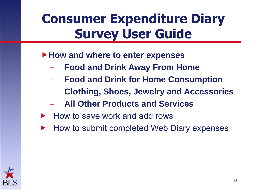- **How and where to enter expenses** 
	- **Food and Drink Away From Home**
	- **Food and Drink for Home Consumption**
	- **Clothing, Shoes, Jewelry and Accessories**
	- **All Other Products and Services**
- How to save work and add rows
- How to submit completed Web Diary expenses

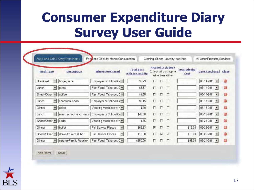|                                              | Food and Drink Away from Home-                         | Food and Drink for Home Consumption              |                                       |                         |                         | Clothing, Shoes, Jewelry, and Acc.                                    |                              | All Other Products/Services        |          |
|----------------------------------------------|--------------------------------------------------------|--------------------------------------------------|---------------------------------------|-------------------------|-------------------------|-----------------------------------------------------------------------|------------------------------|------------------------------------|----------|
| <b>Meal Type</b>                             | <b>Description</b>                                     | <b>Where Purchased</b>                           | <b>Total Cost</b><br>with tax and tip |                         |                         | <b>Alcohol Included?</b><br>(Check all that apply)<br>Wine Beer Other | <b>Total Alcohol</b><br>Cost | <b>Date Purchased Clear</b>        |          |
| <b>Breakfast</b><br>$\overline{\phantom{a}}$ | bagel, juice                                           | Employer or School Ce =                          | \$2.79                                | г                       | r.                      | ĸП                                                                    |                              | $03-14-2011$ $\sim$                | Θ        |
| Lunch                                        | $\star$<br>pizza                                       | Fast Food, Take-out C =                          | \$5.57                                | п                       | п.                      | Œ                                                                     |                              | $03-14-2011$ $\star$               | S        |
| Snack/Other -                                | coffee                                                 | Fast Food, Take-out C =                          | \$1.35                                | П                       | $\Gamma$                | F                                                                     |                              | $03-14-2011$ -                     | Θ        |
| Lunch                                        | sandwich, soda<br>$\blacktriangledown$                 | Employer or School Ce =                          | \$5.15                                | п                       |                         | D D                                                                   |                              | $03-14-2011$ $\blacktriangleright$ | ۵        |
| Dinner                                       | $\pmb{\mathrm{v}}$<br>chips                            | Vending Machines or N =                          | \$.70                                 | п                       |                         | <b>ГГ</b>                                                             |                              | $03-15-2011$ -                     | e        |
| Lunch                                        | $\mathbf{r}$                                           | elem. school lunch - mot Employer or School Ce - | \$45.00                               | г.                      | г                       | F                                                                     |                              | $03 - 15 - 2011$ $\star$           |          |
| Snack/Other v soda                           |                                                        | Vending Machines or N =                          | \$.65                                 | $\Box$                  |                         | гг                                                                    |                              | $03 - 21 - 2011$ $\star$           | Θ        |
| Dinner                                       | $\overline{\phantom{a}}$<br>buffet                     | <b>Full Service Places</b>                       | \$62.23                               | $\overline{\mathbf{v}}$ | F.                      | л                                                                     | \$12.00                      | $03 - 23 - 2011 =$                 | $\equiv$ |
|                                              | Snack/Other $\blacktriangleright$ drinks from cash bar | <b>Full Service Places</b>                       | \$15.00                               | г                       | $\overline{\mathbf{v}}$ | ⊽                                                                     | \$15.00                      | $03 - 23 - 2011$ $\star$           | 8        |
| Dinner                                       | $\mathbf{r}$                                           | caterer-Family Reunion   Fast Food, Take-out C - | \$350.00                              | г                       | г                       |                                                                       | \$95.00                      | $03 - 24 - 2011 =$                 |          |

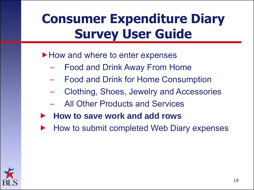- ▶ How and where to enter expenses
	- Food and Drink Away From Home
	- Food and Drink for Home Consumption
	- Clothing, Shoes, Jewelry and Accessories
	- All Other Products and Services
- **How to save work and add rows**
- How to submit completed Web Diary expenses

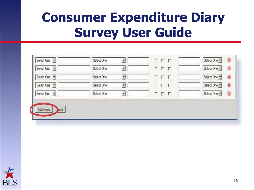| Select One | $\blacktriangledown$<br>Select One | <b>E D D</b> | O<br>Select One        |
|------------|------------------------------------|--------------|------------------------|
| Select One | $\blacktriangledown$<br>Select One | <b>DDD</b>   | $\Theta$<br>Select One |
| Select One | V<br>Select One                    | <b>FFF</b>   | Select One<br>Θ        |
| Select One | Select One<br>¥                    | <b>FFF</b>   | Select One<br>$\odot$  |
| Select One | $\blacktriangledown$<br>Select One | <b>FFF</b>   | Select One<br>9        |

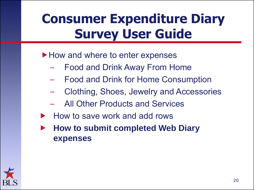#### ▶ How and where to enter expenses

- Food and Drink Away From Home
- Food and Drink for Home Consumption
- Clothing, Shoes, Jewelry and Accessories
- All Other Products and Services
- How to save work and add rows
- **How to submit completed Web Diary expenses**

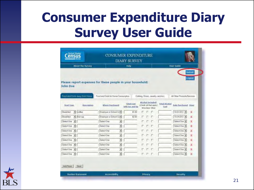|                 | About the liurvey |                               |                                                            | <b>Help</b> |                                       |   |            | <b>Liner Guide</b>                                      |                       |                             |                                 |
|-----------------|-------------------|-------------------------------|------------------------------------------------------------|-------------|---------------------------------------|---|------------|---------------------------------------------------------|-----------------------|-----------------------------|---------------------------------|
| <b>John Doe</b> |                   |                               | Please report expenses for these people in your household: |             |                                       |   |            |                                                         |                       |                             | <b>Submit</b><br><b>Lingman</b> |
|                 |                   | Food and Drink Away from Home | Food end Drink for Home Consumption                        |             |                                       |   |            | Clothing, Shoes, Jawelry, and Acc.<br>Alcohal Included? |                       | All Other Products/Sanices  |                                 |
| Heal Tyse:      |                   | <b>Description</b>            | Where Purchased                                            |             | <b>Total Cost</b><br>with tax and tip |   |            | (Check at that apply)<br>Wine Beer Other                | Tatal Alcahal<br>Eust | <b>Data Purchased Elear</b> |                                 |
| Breakfast       |                   | $\bullet$ cafee               | Employer or School Cem                                     |             | \$1.00                                | п | <b>CF</b>  |                                                         |                       | 10-22-2012                  | ×                               |
| Breakfast       |                   | - that cup                    | Employer or School Ce*                                     |             | \$2.50                                | г | F F        |                                                         |                       | 10-24-2012 -                | x                               |
| Select One      | 闽                 |                               | Select Crue                                                | ۷           |                                       |   |            | ΓΓ                                                      |                       | Select One                  | ×                               |
| Select One      | $\mathbf{r}$      |                               | Select Dos                                                 | E           |                                       | г |            | r r                                                     |                       | Select One                  | 父                               |
| Select One      | ᅬ                 |                               | Select One                                                 | ÿ,          |                                       |   | ггг        |                                                         |                       | Select One                  | ×                               |
| Select One      | ₩                 |                               | <b>Relact One</b>                                          | E           |                                       |   | <b>FFF</b> |                                                         |                       | Salect One                  | x                               |
| Select One      | $\cdot$           |                               | Select One                                                 | ۵           |                                       | г |            | гг                                                      |                       | Salect One =                | x                               |
| Select One      | ×                 |                               | Select One                                                 | ×           |                                       |   | г          | $\sqrt{2}$                                              |                       | Select One *                | x                               |
| Salact One      | $\blacksquare$    |                               | <b>Galact Draw</b>                                         | ٠           |                                       |   | r.         | П                                                       |                       | <b>Salect One &gt;</b>      | x                               |
|                 | Select One #      |                               | Selact One                                                 | y           |                                       |   | г          | п                                                       |                       | SelectOne                   | ×                               |

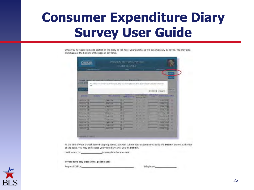When you navigate from one section of the diary to the next, your purchases will automatically be saved. You may also click Save at the bottom of the page at any time.

|                                                                  |                                                                                                                                                                                                                                | <b>DIARY SURVILY</b>                 |                                                        |                                    |                            |                   |
|------------------------------------------------------------------|--------------------------------------------------------------------------------------------------------------------------------------------------------------------------------------------------------------------------------|--------------------------------------|--------------------------------------------------------|------------------------------------|----------------------------|-------------------|
| <b>Charles Contractor</b>                                        |                                                                                                                                                                                                                                | <b>HAM</b>                           |                                                        |                                    | <b>Montgometric</b>        |                   |
|                                                                  |                                                                                                                                                                                                                                |                                      |                                                        |                                    |                            |                   |
|                                                                  |                                                                                                                                                                                                                                |                                      |                                                        |                                    |                            | mari)             |
| <b>William Red Time</b>                                          | <b>ANTI</b>                                                                                                                                                                                                                    |                                      | <b>LEADER AND LONG</b>                                 |                                    |                            |                   |
| <b>Jacket Entry</b>                                              | Total Artist is allowed by the amount that successful Time to may charged by an impact that provide a manager of the common Manham and the property and the Christmas and the Christmas and the common common and the common c |                                      |                                                        |                                    |                            |                   |
| <b>HOLD !!</b>                                                   |                                                                                                                                                                                                                                |                                      |                                                        |                                    |                            |                   |
| $-11$                                                            |                                                                                                                                                                                                                                |                                      |                                                        | $\rightarrow$                      | Clintoff                   | <b>CONTRACTOR</b> |
|                                                                  |                                                                                                                                                                                                                                |                                      |                                                        |                                    |                            |                   |
| <b>Section Line</b><br><b>HAM KAME</b>                           | <b>Million Securities</b>                                                                                                                                                                                                      | <b>TURNATION</b><br>alla Andere Hill | <b>Charles &amp; Romarco</b><br><b>Ministra Police</b> | <b>ART BELLING</b><br><b>THEFT</b> | <b>Jack Traccards</b> Mary |                   |
| <b>Reading St.</b>                                               | <b>Tale The</b><br>Β                                                                                                                                                                                                           |                                      | 55 5                                                   |                                    | <b>The part are of 1</b>   | ٠                 |
| <b>Provident Provident</b>                                       | u<br><b>Like Corp.</b>                                                                                                                                                                                                         |                                      | w                                                      |                                    | <b>Local Director</b>      | ٠                 |
| <b>Description (M)</b>                                           | <b>Traction</b><br>в                                                                                                                                                                                                           |                                      | <b>Contract Contract Contract</b>                      |                                    | Sales Caller Ma            | ٠                 |
| <b>MONTHS</b>                                                    | ٠<br><b>DESTROY</b>                                                                                                                                                                                                            |                                      | ٠<br>٠                                                 |                                    | <b>Report Follows</b>      | ٠                 |
| Detroit of 1                                                     | <b>Lyans you</b><br>٠<br>▬                                                                                                                                                                                                     |                                      |                                                        |                                    | Sand Gram                  | ٠                 |
|                                                                  | ۰<br><b>CARL COMMA</b><br>э                                                                                                                                                                                                    |                                      | ٠<br>۰                                                 |                                    | $1 - 1 + 1 = 1$            | π                 |
|                                                                  | <b>COLA ATTOLETA</b><br>æ                                                                                                                                                                                                      |                                      | ۰<br>-                                                 |                                    | <b>Report Follows</b>      | ٠                 |
|                                                                  |                                                                                                                                                                                                                                |                                      | ۰<br>ـ                                                 |                                    | <b>County Operat</b>       | ٠                 |
| <b>Constitution</b><br><b>Democrático</b> al-<br>$-$ 000 000 000 | $\frac{1}{2}$<br>н                                                                                                                                                                                                             |                                      | <b>Service Control</b>                                 |                                    | <b>County Avenue</b>       | ×                 |
| Henry China (1941)                                               | <b>TANK WAR</b><br>а                                                                                                                                                                                                           |                                      |                                                        |                                    |                            |                   |

At the end of your 2-week record keeping period, you will submit your expenditures using the Submit button at the top of the page. You may still access your web diary after you hit Submit.

I will return on to complete the interview.

If you have any questions, please call:

Regional Office:

Telephone:

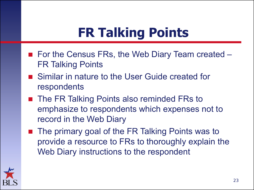# **FR Talking Points**

- For the Census FRs, the Web Diary Team created FR Talking Points
- Similar in nature to the User Guide created for respondents
- The FR Talking Points also reminded FRs to emphasize to respondents which expenses not to record in the Web Diary
- The primary goal of the FR Talking Points was to provide a resource to FRs to thoroughly explain the Web Diary instructions to the respondent

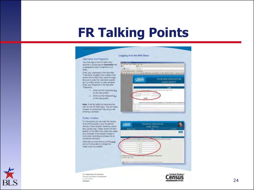#### **FR Talking Points**

|                                                                                                                                                                                                                                                                                                           | Logging in to the Web Diary                                                                                                                                                               |
|-----------------------------------------------------------------------------------------------------------------------------------------------------------------------------------------------------------------------------------------------------------------------------------------------------------|-------------------------------------------------------------------------------------------------------------------------------------------------------------------------------------------|
| <b>Username and Password</b>                                                                                                                                                                                                                                                                              |                                                                                                                                                                                           |
| Your hist login to the CE Web Diary.<br>moures a unique secure Username that<br>is assigned to each household in our<br>study.                                                                                                                                                                            | <b>DS</b> (a)<br>$0.13 - 1$<br><b>District W</b>                                                                                                                                          |
| Enter your Usemane in the field after<br>"Usernamy" kidaled in the middle of the<br>screen at the Viet Diary welcome page-<br>Be sure to enter the Cwername exactly<br>es il is antien since it is case-senative.<br>Enter your Password in the field after<br>"Password."                                | Done Line y to 1 the Step Dream Line<br>Census<br>CONTENIUE ENTENERTIE<br><b>EXARY SLHVEY</b><br>1 mars                                                                                   |
| * IFford out the Useniame fair<br>can the user guide !<br>2 (Ford out the Password Suv<br>on the user guide 1                                                                                                                                                                                             | A Leak-AA Ananing Mar<br>bed benticated that Tundell                                                                                                                                      |
| Note: It will be helpful to bookmank the<br>URL for the CE Web Dary. This will make<br>If easer to access each day as you are<br>entering purchases                                                                                                                                                       | This and chains intercelerate inhibit positive Chronicational prior for Eng Transit limit until or light license and and<br><b>STATISTICS</b>                                             |
| Rosler Creation                                                                                                                                                                                                                                                                                           |                                                                                                                                                                                           |
| On this screen you will enter the names<br>of all of the people in your household<br>that don't have another residence where-<br>they usually stay. These rames will then<br>appear on the Web Drary cate entry page.<br>as a reminder of the people to keep in<br>ining when recording purchases for all | <b>CONSISTER EXPERIENCE</b><br>Census<br><b>DIARY BURYET</b>                                                                                                                              |
| household members.<br>Ficto that you only have to do this price.<br>and will hot be able to change the<br>rolder price it is created.                                                                                                                                                                     | or of the credit is a com-<br>anial was such it look at we to<br>141114<br>٠<br>٠<br>×.<br>÷<br>٠<br>×<br>2 Alast So And San Source In Electric<br><b>Adduqued Store</b><br>$-1$ and $-1$ |
|                                                                                                                                                                                                                                                                                                           | (Bal) Trap we'll be performed a photograph because of or bring                                                                                                                            |

U.S. Department of Commerce Training and States of Administers AT URN-EXHA colorate grow-



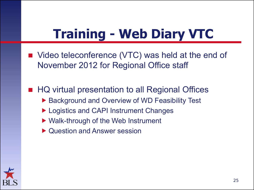## **Training - Web Diary VTC**

- Video teleconference (VTC) was held at the end of November 2012 for Regional Office staff
- HQ virtual presentation to all Regional Offices ▶ Background and Overview of WD Feasibility Test ▶ Logistics and CAPI Instrument Changes
	- ▶ Walk-through of the Web Instrument
	- ▶ Question and Answer session

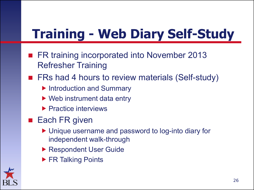# **Training - Web Diary Self-Study**

- FR training incorporated into November 2013 Refresher Training
- FRs had 4 hours to review materials (Self-study)
	- **Introduction and Summary**
	- ▶ Web instrument data entry
	- ▶ Practice interviews
- $\blacksquare$  Each FR given
	- Unique username and password to log-into diary for independent walk-through
	- Respondent User Guide
	- ▶ FR Talking Points

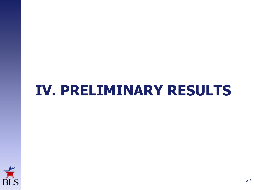## **IV. PRELIMINARY RESULTS**

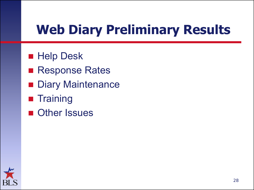# **Web Diary Preliminary Results**

- **Help Desk**
- Response Rates
- **Diary Maintenance**
- **Training**
- Other Issues

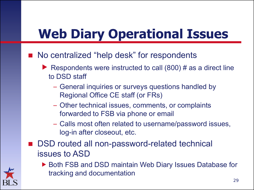## **Web Diary Operational Issues**

- No centralized "help desk" for respondents
	- Respondents were instructed to call  $(800)$  # as a direct line to DSD staff
		- General inquiries or surveys questions handled by Regional Office CE staff (or FRs)
		- Other technical issues, comments, or complaints forwarded to FSB via phone or email
		- Calls most often related to username/password issues, log-in after closeout, etc.
- DSD routed all non-password-related technical issues to ASD



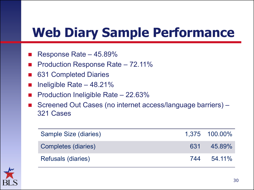#### **Web Diary Sample Performance**

- Response Rate 45.89%
- Production Response Rate 72.11%
- 631 Completed Diaries
- Ineligible Rate 48.21%
- Production Ineligible Rate 22.63%
- Screened Out Cases (no internet access/language barriers) 321 Cases

| Sample Size (diaries) |     | 1,375 100.00% |
|-----------------------|-----|---------------|
| Completes (diaries)   |     | 631 45.89%    |
| Refusals (diaries)    | 744 | $54.11\%$     |

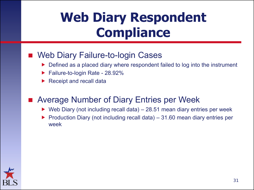#### **Web Diary Respondent Compliance**

#### Web Diary Failure-to-login Cases

- Defined as a placed diary where respondent failed to log into the instrument
- Failure-to-login Rate 28.92%
- Receipt and recall data

#### Average Number of Diary Entries per Week

- $\triangleright$  Web Diary (not including recall data) 28.51 mean diary entries per week
- Production Diary (not including recall data)  $-31.60$  mean diary entries per week

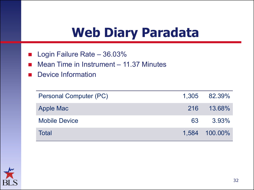#### **Web Diary Paradata**

- Login Failure Rate 36.03%
- Mean Time in Instrument 11.37 Minutes
- **Device Information**

| Personal Computer (PC) | 1,305 82.39%  |
|------------------------|---------------|
| <b>Apple Mac</b>       | 216 13.68%    |
| <b>Mobile Device</b>   | 63 3.93%      |
| Total                  | 1,584 100.00% |

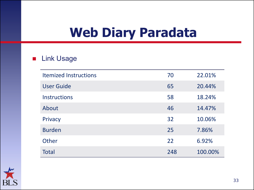#### **Web Diary Paradata**

#### **Link Usage**

| <b>Itemized Instructions</b> | 70  | 22.01%  |
|------------------------------|-----|---------|
| <b>User Guide</b>            | 65  | 20.44%  |
| <b>Instructions</b>          | 58  | 18.24%  |
| About                        | 46  | 14.47%  |
| Privacy                      | 32  | 10.06%  |
| <b>Burden</b>                | 25  | 7.86%   |
| Other                        | 22  | 6.92%   |
| <b>Total</b>                 | 248 | 100.00% |

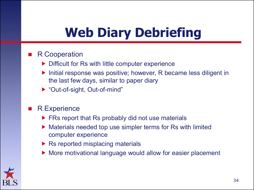# **Web Diary Debriefing**

#### R Cooperation

- $\triangleright$  Difficult for Rs with little computer experience
- ▶ Initial response was positive; however, R became less diligent in the last few days, similar to paper diary
- ▶ "Out-of-sight, Out-of-mind"
- R Experience
	- $\triangleright$  FRs report that Rs probably did not use materials
	- ▶ Materials needed top use simpler terms for Rs with limited computer experience
	- $\triangleright$  Rs reported misplacing materials
	- ▶ More motivational language would allow for easier placement

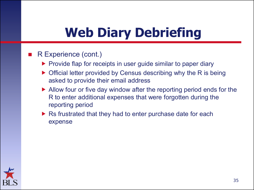# **Web Diary Debriefing**

- R Experience (cont.)
	- $\triangleright$  Provide flap for receipts in user guide similar to paper diary
	- Official letter provided by Census describing why the R is being asked to provide their email address
	- Allow four or five day window after the reporting period ends for the R to enter additional expenses that were forgotten during the reporting period
	- $\triangleright$  Rs frustrated that they had to enter purchase date for each expense

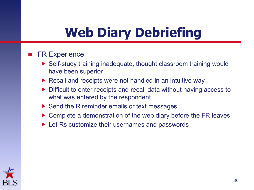# **Web Diary Debriefing**

#### FR Experience

- ▶ Self-study training inadequate, thought classroom training would have been superior
- $\triangleright$  Recall and receipts were not handled in an intuitive way
- Difficult to enter receipts and recall data without having access to what was entered by the respondent
- $\triangleright$  Send the R reminder emails or text messages
- ▶ Complete a demonstration of the web diary before the FR leaves
- ▶ Let Rs customize their usernames and passwords

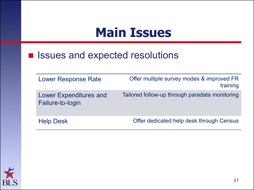#### **Main Issues**

#### **E** Issues and expected resolutions

| <b>Lower Response Rate</b>                        | Offer multiple survey modes & improved FR<br>training |
|---------------------------------------------------|-------------------------------------------------------|
| <b>Lower Expenditures and</b><br>Failure-to-login | Tailored follow-up through paradata monitoring        |
| <b>Help Desk</b>                                  | Offer dedicated help desk through Census              |

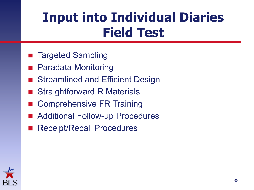#### **Input into Individual Diaries Field Test**

- Targeted Sampling
- Paradata Monitoring
- Streamlined and Efficient Design
- Straightforward R Materials
- Comprehensive FR Training
- Additional Follow-up Procedures
- Receipt/Recall Procedures

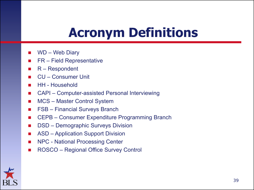#### **Acronym Definitions**

- WD Web Diary
- FR Field Representative
- R Respondent
- CU Consumer Unit
- HH Household
- CAPI Computer-assisted Personal Interviewing
- MCS Master Control System
- FSB Financial Surveys Branch
- CEPB Consumer Expenditure Programming Branch
- DSD Demographic Surveys Division
- ASD Application Support Division
- **NPC National Processing Center**
- ROSCO Regional Office Survey Control